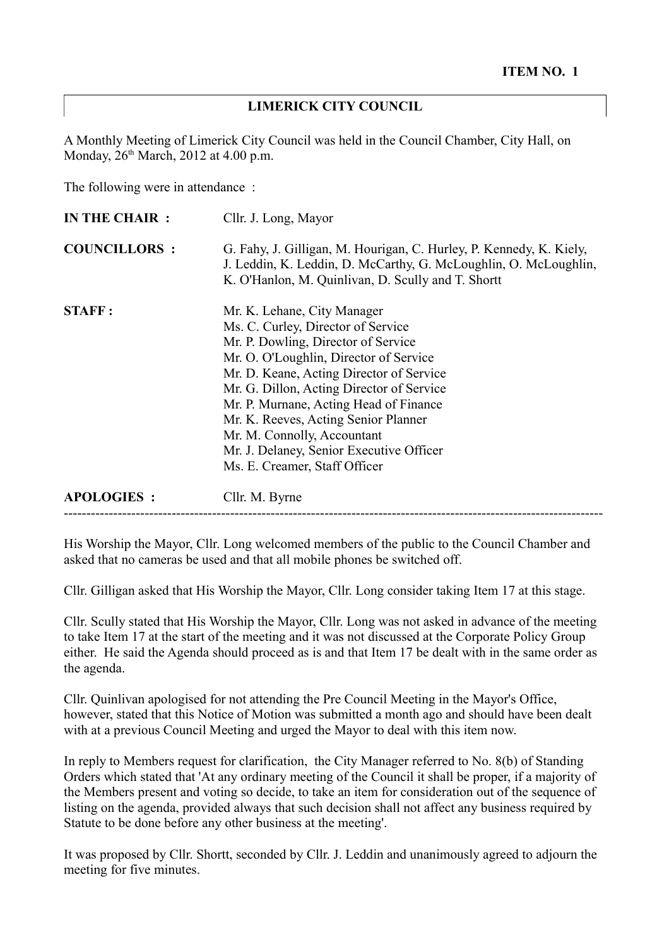### **LIMERICK CITY COUNCIL**

A Monthly Meeting of Limerick City Council was held in the Council Chamber, City Hall, on Monday,  $26<sup>th</sup> March$ ,  $2012$  at 4.00 p.m.

The following were in attendance :

| IN THE CHAIR :      | Cllr. J. Long, Mayor                                                                                                                                                                                                                                                                                                                                                                                                                      |
|---------------------|-------------------------------------------------------------------------------------------------------------------------------------------------------------------------------------------------------------------------------------------------------------------------------------------------------------------------------------------------------------------------------------------------------------------------------------------|
| <b>COUNCILLORS:</b> | G. Fahy, J. Gilligan, M. Hourigan, C. Hurley, P. Kennedy, K. Kiely,<br>J. Leddin, K. Leddin, D. McCarthy, G. McLoughlin, O. McLoughlin,<br>K. O'Hanlon, M. Quinlivan, D. Scully and T. Shortt                                                                                                                                                                                                                                             |
| <b>STAFF:</b>       | Mr. K. Lehane, City Manager<br>Ms. C. Curley, Director of Service<br>Mr. P. Dowling, Director of Service<br>Mr. O. O'Loughlin, Director of Service<br>Mr. D. Keane, Acting Director of Service<br>Mr. G. Dillon, Acting Director of Service<br>Mr. P. Murnane, Acting Head of Finance<br>Mr. K. Reeves, Acting Senior Planner<br>Mr. M. Connolly, Accountant<br>Mr. J. Delaney, Senior Executive Officer<br>Ms. E. Creamer, Staff Officer |
| <b>APOLOGIES:</b>   | Cllr. M. Byrne                                                                                                                                                                                                                                                                                                                                                                                                                            |

His Worship the Mayor, Cllr. Long welcomed members of the public to the Council Chamber and asked that no cameras be used and that all mobile phones be switched off.

Cllr. Gilligan asked that His Worship the Mayor, Cllr. Long consider taking Item 17 at this stage.

Cllr. Scully stated that His Worship the Mayor, Cllr. Long was not asked in advance of the meeting to take Item 17 at the start of the meeting and it was not discussed at the Corporate Policy Group either. He said the Agenda should proceed as is and that Item 17 be dealt with in the same order as the agenda.

Cllr. Quinlivan apologised for not attending the Pre Council Meeting in the Mayor's Office, however, stated that this Notice of Motion was submitted a month ago and should have been dealt with at a previous Council Meeting and urged the Mayor to deal with this item now.

In reply to Members request for clarification, the City Manager referred to No. 8(b) of Standing Orders which stated that 'At any ordinary meeting of the Council it shall be proper, if a majority of the Members present and voting so decide, to take an item for consideration out of the sequence of listing on the agenda, provided always that such decision shall not affect any business required by Statute to be done before any other business at the meeting'.

It was proposed by Cllr. Shortt, seconded by Cllr. J. Leddin and unanimously agreed to adjourn the meeting for five minutes.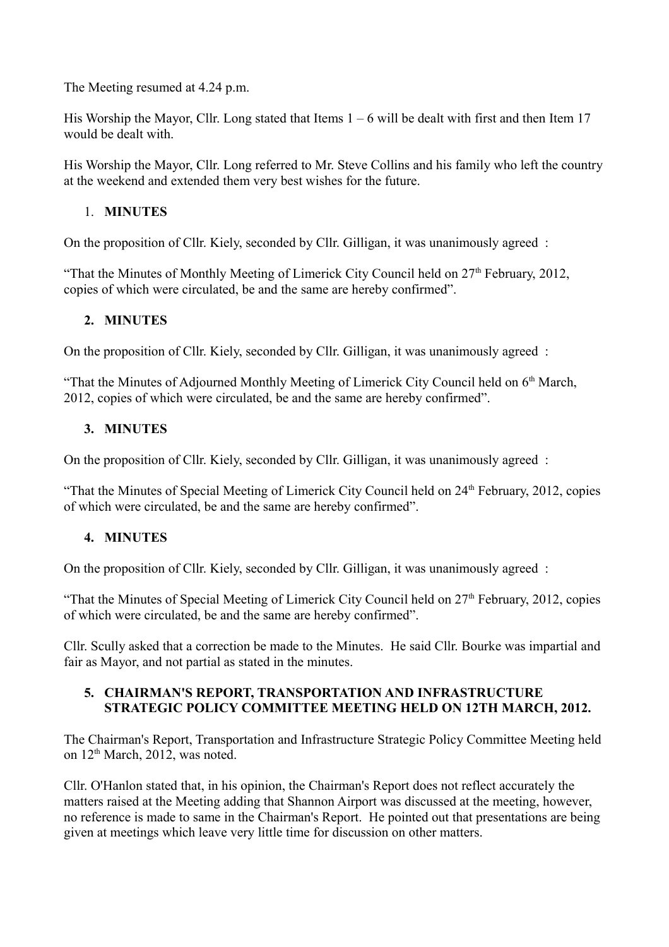The Meeting resumed at 4.24 p.m.

His Worship the Mayor, Cllr. Long stated that Items  $1 - 6$  will be dealt with first and then Item 17 would be dealt with.

His Worship the Mayor, Cllr. Long referred to Mr. Steve Collins and his family who left the country at the weekend and extended them very best wishes for the future.

## 1. **MINUTES**

On the proposition of Cllr. Kiely, seconded by Cllr. Gilligan, it was unanimously agreed :

"That the Minutes of Monthly Meeting of Limerick City Council held on  $27<sup>th</sup>$  February, 2012, copies of which were circulated, be and the same are hereby confirmed".

## **2. MINUTES**

On the proposition of Cllr. Kiely, seconded by Cllr. Gilligan, it was unanimously agreed :

"That the Minutes of Adjourned Monthly Meeting of Limerick City Council held on 6<sup>th</sup> March, 2012, copies of which were circulated, be and the same are hereby confirmed".

## **3. MINUTES**

On the proposition of Cllr. Kiely, seconded by Cllr. Gilligan, it was unanimously agreed :

"That the Minutes of Special Meeting of Limerick City Council held on 24<sup>th</sup> February, 2012, copies of which were circulated, be and the same are hereby confirmed".

# **4. MINUTES**

On the proposition of Cllr. Kiely, seconded by Cllr. Gilligan, it was unanimously agreed :

"That the Minutes of Special Meeting of Limerick City Council held on  $27<sup>th</sup>$  February, 2012, copies of which were circulated, be and the same are hereby confirmed".

Cllr. Scully asked that a correction be made to the Minutes. He said Cllr. Bourke was impartial and fair as Mayor, and not partial as stated in the minutes.

### **5. CHAIRMAN'S REPORT, TRANSPORTATION AND INFRASTRUCTURE STRATEGIC POLICY COMMITTEE MEETING HELD ON 12TH MARCH, 2012.**

The Chairman's Report, Transportation and Infrastructure Strategic Policy Committee Meeting held on  $12<sup>th</sup> March$ , 2012, was noted.

Cllr. O'Hanlon stated that, in his opinion, the Chairman's Report does not reflect accurately the matters raised at the Meeting adding that Shannon Airport was discussed at the meeting, however, no reference is made to same in the Chairman's Report. He pointed out that presentations are being given at meetings which leave very little time for discussion on other matters.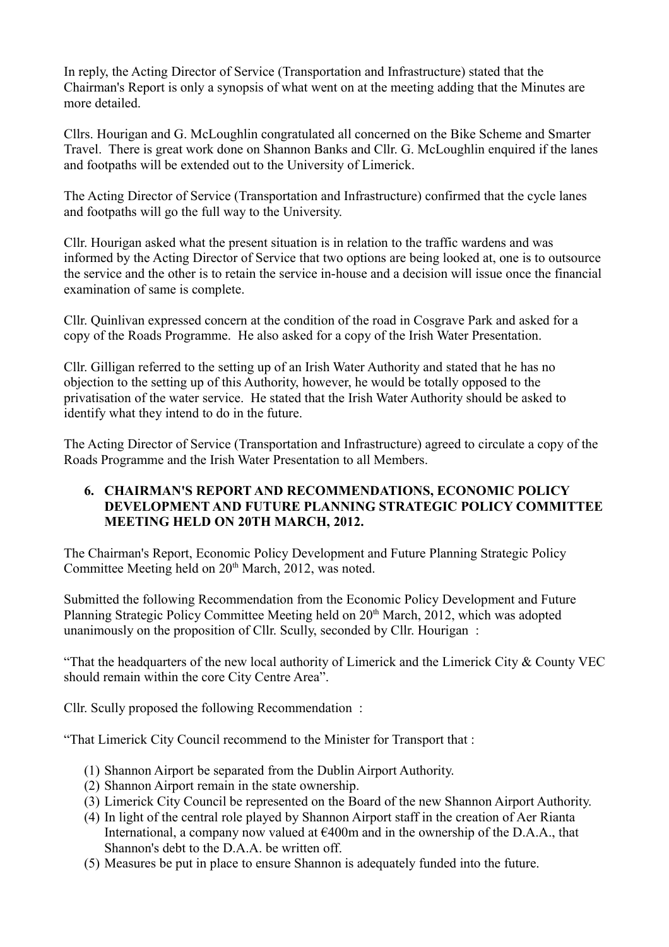In reply, the Acting Director of Service (Transportation and Infrastructure) stated that the Chairman's Report is only a synopsis of what went on at the meeting adding that the Minutes are more detailed.

Cllrs. Hourigan and G. McLoughlin congratulated all concerned on the Bike Scheme and Smarter Travel. There is great work done on Shannon Banks and Cllr. G. McLoughlin enquired if the lanes and footpaths will be extended out to the University of Limerick.

The Acting Director of Service (Transportation and Infrastructure) confirmed that the cycle lanes and footpaths will go the full way to the University.

Cllr. Hourigan asked what the present situation is in relation to the traffic wardens and was informed by the Acting Director of Service that two options are being looked at, one is to outsource the service and the other is to retain the service in-house and a decision will issue once the financial examination of same is complete.

Cllr. Quinlivan expressed concern at the condition of the road in Cosgrave Park and asked for a copy of the Roads Programme. He also asked for a copy of the Irish Water Presentation.

Cllr. Gilligan referred to the setting up of an Irish Water Authority and stated that he has no objection to the setting up of this Authority, however, he would be totally opposed to the privatisation of the water service. He stated that the Irish Water Authority should be asked to identify what they intend to do in the future.

The Acting Director of Service (Transportation and Infrastructure) agreed to circulate a copy of the Roads Programme and the Irish Water Presentation to all Members.

### **6. CHAIRMAN'S REPORT AND RECOMMENDATIONS, ECONOMIC POLICY DEVELOPMENT AND FUTURE PLANNING STRATEGIC POLICY COMMITTEE MEETING HELD ON 20TH MARCH, 2012.**

The Chairman's Report, Economic Policy Development and Future Planning Strategic Policy Committee Meeting held on 20<sup>th</sup> March, 2012, was noted.

Submitted the following Recommendation from the Economic Policy Development and Future Planning Strategic Policy Committee Meeting held on 20<sup>th</sup> March, 2012, which was adopted unanimously on the proposition of Cllr. Scully, seconded by Cllr. Hourigan :

"That the headquarters of the new local authority of Limerick and the Limerick City & County VEC should remain within the core City Centre Area".

Cllr. Scully proposed the following Recommendation :

"That Limerick City Council recommend to the Minister for Transport that :

- (1) Shannon Airport be separated from the Dublin Airport Authority.
- (2) Shannon Airport remain in the state ownership.
- (3) Limerick City Council be represented on the Board of the new Shannon Airport Authority.
- (4) In light of the central role played by Shannon Airport staff in the creation of Aer Rianta International, a company now valued at  $\epsilon$ 400m and in the ownership of the D.A.A., that Shannon's debt to the D.A.A. be written off.
- (5) Measures be put in place to ensure Shannon is adequately funded into the future.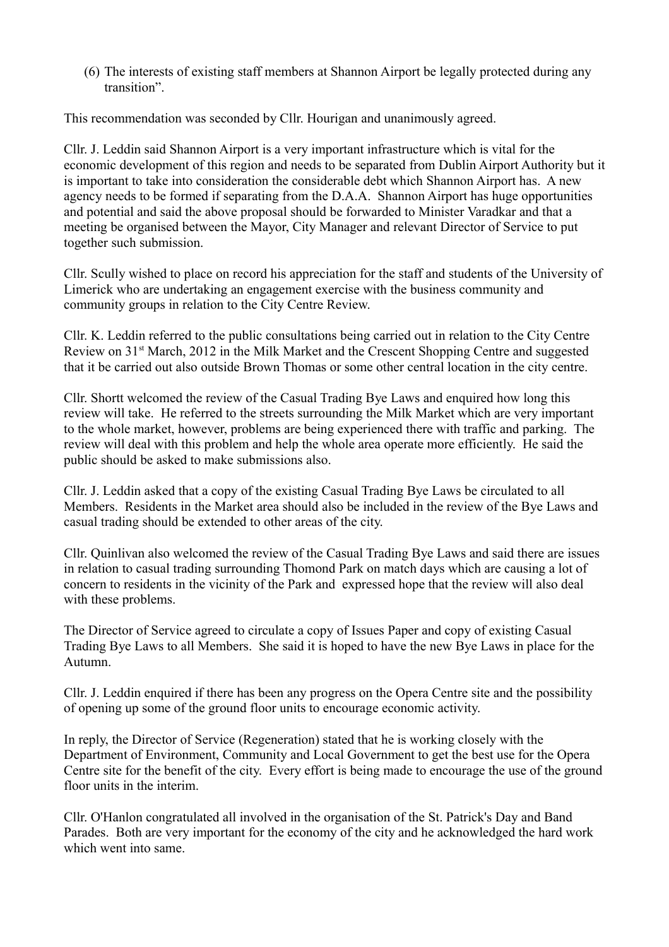(6) The interests of existing staff members at Shannon Airport be legally protected during any transition".

This recommendation was seconded by Cllr. Hourigan and unanimously agreed.

Cllr. J. Leddin said Shannon Airport is a very important infrastructure which is vital for the economic development of this region and needs to be separated from Dublin Airport Authority but it is important to take into consideration the considerable debt which Shannon Airport has. A new agency needs to be formed if separating from the D.A.A. Shannon Airport has huge opportunities and potential and said the above proposal should be forwarded to Minister Varadkar and that a meeting be organised between the Mayor, City Manager and relevant Director of Service to put together such submission.

Cllr. Scully wished to place on record his appreciation for the staff and students of the University of Limerick who are undertaking an engagement exercise with the business community and community groups in relation to the City Centre Review.

Cllr. K. Leddin referred to the public consultations being carried out in relation to the City Centre Review on 31<sup>st</sup> March, 2012 in the Milk Market and the Crescent Shopping Centre and suggested that it be carried out also outside Brown Thomas or some other central location in the city centre.

Cllr. Shortt welcomed the review of the Casual Trading Bye Laws and enquired how long this review will take. He referred to the streets surrounding the Milk Market which are very important to the whole market, however, problems are being experienced there with traffic and parking. The review will deal with this problem and help the whole area operate more efficiently. He said the public should be asked to make submissions also.

Cllr. J. Leddin asked that a copy of the existing Casual Trading Bye Laws be circulated to all Members. Residents in the Market area should also be included in the review of the Bye Laws and casual trading should be extended to other areas of the city.

Cllr. Quinlivan also welcomed the review of the Casual Trading Bye Laws and said there are issues in relation to casual trading surrounding Thomond Park on match days which are causing a lot of concern to residents in the vicinity of the Park and expressed hope that the review will also deal with these problems.

The Director of Service agreed to circulate a copy of Issues Paper and copy of existing Casual Trading Bye Laws to all Members. She said it is hoped to have the new Bye Laws in place for the Autumn.

Cllr. J. Leddin enquired if there has been any progress on the Opera Centre site and the possibility of opening up some of the ground floor units to encourage economic activity.

In reply, the Director of Service (Regeneration) stated that he is working closely with the Department of Environment, Community and Local Government to get the best use for the Opera Centre site for the benefit of the city. Every effort is being made to encourage the use of the ground floor units in the interim.

Cllr. O'Hanlon congratulated all involved in the organisation of the St. Patrick's Day and Band Parades. Both are very important for the economy of the city and he acknowledged the hard work which went into same.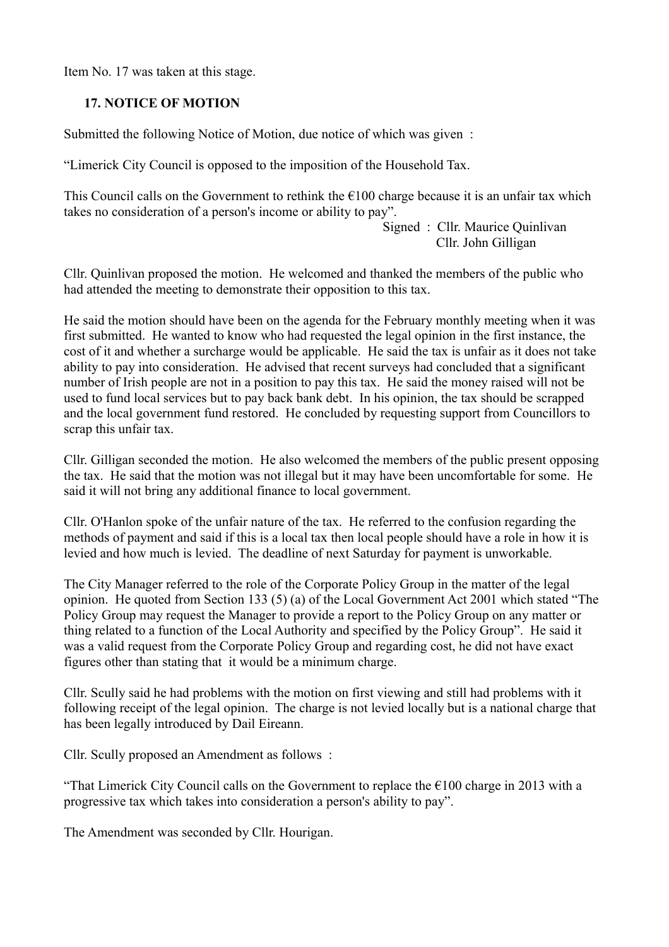Item No. 17 was taken at this stage.

## **17. NOTICE OF MOTION**

Submitted the following Notice of Motion, due notice of which was given :

"Limerick City Council is opposed to the imposition of the Household Tax.

This Council calls on the Government to rethink the  $\epsilon$ 100 charge because it is an unfair tax which takes no consideration of a person's income or ability to pay".

> Signed : Cllr. Maurice Quinlivan Cllr. John Gilligan

Cllr. Quinlivan proposed the motion. He welcomed and thanked the members of the public who had attended the meeting to demonstrate their opposition to this tax.

He said the motion should have been on the agenda for the February monthly meeting when it was first submitted. He wanted to know who had requested the legal opinion in the first instance, the cost of it and whether a surcharge would be applicable. He said the tax is unfair as it does not take ability to pay into consideration. He advised that recent surveys had concluded that a significant number of Irish people are not in a position to pay this tax. He said the money raised will not be used to fund local services but to pay back bank debt. In his opinion, the tax should be scrapped and the local government fund restored. He concluded by requesting support from Councillors to scrap this unfair tax.

Cllr. Gilligan seconded the motion. He also welcomed the members of the public present opposing the tax. He said that the motion was not illegal but it may have been uncomfortable for some. He said it will not bring any additional finance to local government.

Cllr. O'Hanlon spoke of the unfair nature of the tax. He referred to the confusion regarding the methods of payment and said if this is a local tax then local people should have a role in how it is levied and how much is levied. The deadline of next Saturday for payment is unworkable.

The City Manager referred to the role of the Corporate Policy Group in the matter of the legal opinion. He quoted from Section 133 (5) (a) of the Local Government Act 2001 which stated "The Policy Group may request the Manager to provide a report to the Policy Group on any matter or thing related to a function of the Local Authority and specified by the Policy Group". He said it was a valid request from the Corporate Policy Group and regarding cost, he did not have exact figures other than stating that it would be a minimum charge.

Cllr. Scully said he had problems with the motion on first viewing and still had problems with it following receipt of the legal opinion. The charge is not levied locally but is a national charge that has been legally introduced by Dail Eireann.

Cllr. Scully proposed an Amendment as follows :

"That Limerick City Council calls on the Government to replace the  $\epsilon$ 100 charge in 2013 with a progressive tax which takes into consideration a person's ability to pay".

The Amendment was seconded by Cllr. Hourigan.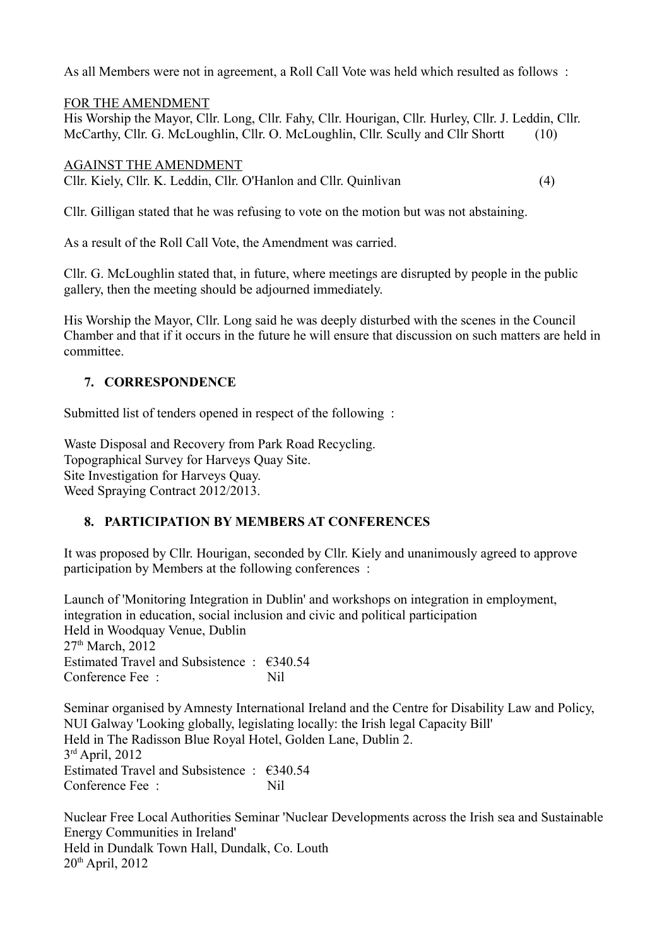As all Members were not in agreement, a Roll Call Vote was held which resulted as follows :

FOR THE AMENDMENT His Worship the Mayor, Cllr. Long, Cllr. Fahy, Cllr. Hourigan, Cllr. Hurley, Cllr. J. Leddin, Cllr. McCarthy, Cllr. G. McLoughlin, Cllr. O. McLoughlin, Cllr. Scully and Cllr Shortt (10)

AGAINST THE AMENDMENT Cllr. Kiely, Cllr. K. Leddin, Cllr. O'Hanlon and Cllr. Quinlivan (4)

Cllr. Gilligan stated that he was refusing to vote on the motion but was not abstaining.

As a result of the Roll Call Vote, the Amendment was carried.

Cllr. G. McLoughlin stated that, in future, where meetings are disrupted by people in the public gallery, then the meeting should be adjourned immediately.

His Worship the Mayor, Cllr. Long said he was deeply disturbed with the scenes in the Council Chamber and that if it occurs in the future he will ensure that discussion on such matters are held in committee.

# **7. CORRESPONDENCE**

Submitted list of tenders opened in respect of the following :

Waste Disposal and Recovery from Park Road Recycling. Topographical Survey for Harveys Quay Site. Site Investigation for Harveys Quay. Weed Spraying Contract 2012/2013.

# **8. PARTICIPATION BY MEMBERS AT CONFERENCES**

It was proposed by Cllr. Hourigan, seconded by Cllr. Kiely and unanimously agreed to approve participation by Members at the following conferences :

Launch of 'Monitoring Integration in Dublin' and workshops on integration in employment, integration in education, social inclusion and civic and political participation Held in Woodquay Venue, Dublin 27<sup>th</sup> March, 2012 Estimated Travel and Subsistence :  $\epsilon$ 340.54 Conference Fee : Nil

Seminar organised by Amnesty International Ireland and the Centre for Disability Law and Policy, NUI Galway 'Looking globally, legislating locally: the Irish legal Capacity Bill' Held in The Radisson Blue Royal Hotel, Golden Lane, Dublin 2. 3 rd April, 2012 Estimated Travel and Subsistence : €340.54 Conference Fee : Nil

Nuclear Free Local Authorities Seminar 'Nuclear Developments across the Irish sea and Sustainable Energy Communities in Ireland' Held in Dundalk Town Hall, Dundalk, Co. Louth 20th April, 2012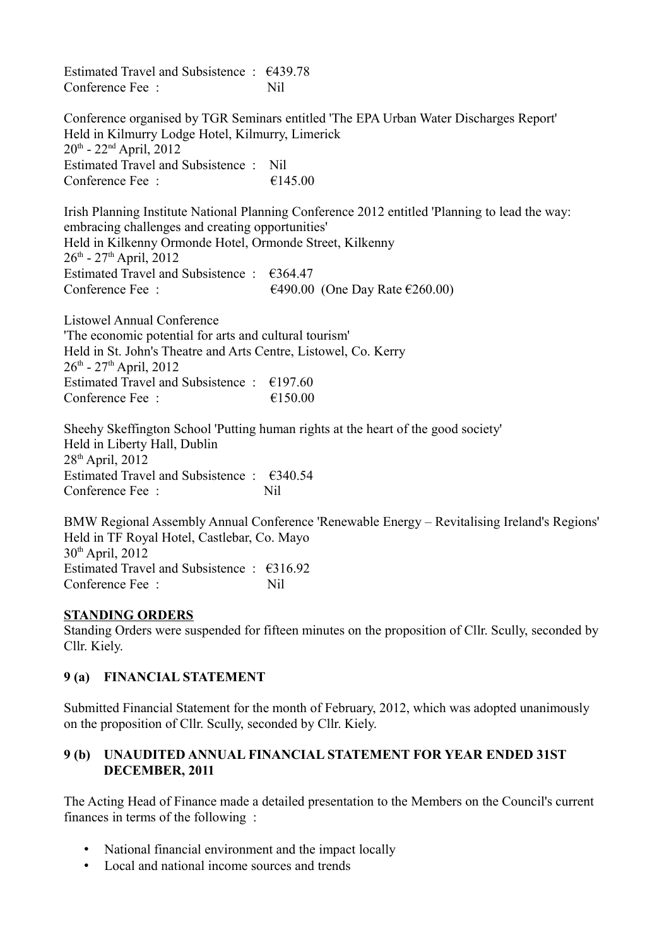Estimated Travel and Subsistence :  $\epsilon$ 439.78 Conference Fee : Nil

Conference organised by TGR Seminars entitled 'The EPA Urban Water Discharges Report' Held in Kilmurry Lodge Hotel, Kilmurry, Limerick  $20^{th}$  -  $22^{nd}$  April,  $2012$ Estimated Travel and Subsistence : Nil Conference Fee  $\cdot$   $\epsilon$  145.00

Irish Planning Institute National Planning Conference 2012 entitled 'Planning to lead the way: embracing challenges and creating opportunities' Held in Kilkenny Ormonde Hotel, Ormonde Street, Kilkenny  $26^{th}$  -  $27^{th}$  April, 2012 Estimated Travel and Subsistence :  $\epsilon$ 364.47 Conference Fee :  $6490.00$  (One Day Rate  $6260.00$ )

Listowel Annual Conference 'The economic potential for arts and cultural tourism' Held in St. John's Theatre and Arts Centre, Listowel, Co. Kerry  $26^{th}$  -  $27^{th}$  April, 2012 Estimated Travel and Subsistence :  $\epsilon$ 197.60 Conference Fee :  $\epsilon$  150.00

Sheehy Skeffington School 'Putting human rights at the heart of the good society' Held in Liberty Hall, Dublin 28th April, 2012 Estimated Travel and Subsistence : €340.54 Conference Fee : Nil

BMW Regional Assembly Annual Conference 'Renewable Energy – Revitalising Ireland's Regions' Held in TF Royal Hotel, Castlebar, Co. Mayo 30th April, 2012 Estimated Travel and Subsistence :  $\epsilon$ 316.92 Conference Fee : Nil

### **STANDING ORDERS**

Standing Orders were suspended for fifteen minutes on the proposition of Cllr. Scully, seconded by Cllr. Kiely.

### **9 (a) FINANCIAL STATEMENT**

Submitted Financial Statement for the month of February, 2012, which was adopted unanimously on the proposition of Cllr. Scully, seconded by Cllr. Kiely.

### **9 (b) UNAUDITED ANNUAL FINANCIAL STATEMENT FOR YEAR ENDED 31ST DECEMBER, 2011**

The Acting Head of Finance made a detailed presentation to the Members on the Council's current finances in terms of the following :

- National financial environment and the impact locally
- Local and national income sources and trends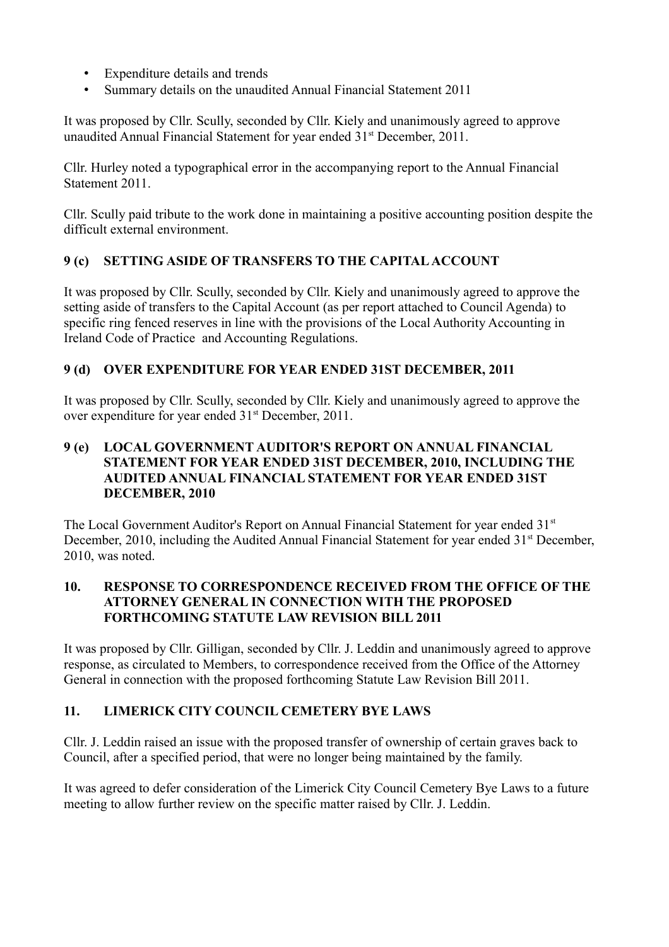- Expenditure details and trends
- Summary details on the unaudited Annual Financial Statement 2011

It was proposed by Cllr. Scully, seconded by Cllr. Kiely and unanimously agreed to approve unaudited Annual Financial Statement for year ended 31<sup>st</sup> December, 2011.

Cllr. Hurley noted a typographical error in the accompanying report to the Annual Financial Statement 2011.

Cllr. Scully paid tribute to the work done in maintaining a positive accounting position despite the difficult external environment.

# **9 (c) SETTING ASIDE OF TRANSFERS TO THE CAPITAL ACCOUNT**

It was proposed by Cllr. Scully, seconded by Cllr. Kiely and unanimously agreed to approve the setting aside of transfers to the Capital Account (as per report attached to Council Agenda) to specific ring fenced reserves in line with the provisions of the Local Authority Accounting in Ireland Code of Practice and Accounting Regulations.

# **9 (d) OVER EXPENDITURE FOR YEAR ENDED 31ST DECEMBER, 2011**

It was proposed by Cllr. Scully, seconded by Cllr. Kiely and unanimously agreed to approve the over expenditure for year ended 31st December, 2011.

## **9 (e) LOCAL GOVERNMENT AUDITOR'S REPORT ON ANNUAL FINANCIAL STATEMENT FOR YEAR ENDED 31ST DECEMBER, 2010, INCLUDING THE AUDITED ANNUAL FINANCIAL STATEMENT FOR YEAR ENDED 31ST DECEMBER, 2010**

The Local Government Auditor's Report on Annual Financial Statement for year ended 31<sup>st</sup> December, 2010, including the Audited Annual Financial Statement for year ended 31<sup>st</sup> December, 2010, was noted.

## **10. RESPONSE TO CORRESPONDENCE RECEIVED FROM THE OFFICE OF THE ATTORNEY GENERAL IN CONNECTION WITH THE PROPOSED FORTHCOMING STATUTE LAW REVISION BILL 2011**

It was proposed by Cllr. Gilligan, seconded by Cllr. J. Leddin and unanimously agreed to approve response, as circulated to Members, to correspondence received from the Office of the Attorney General in connection with the proposed forthcoming Statute Law Revision Bill 2011.

# **11. LIMERICK CITY COUNCIL CEMETERY BYE LAWS**

Cllr. J. Leddin raised an issue with the proposed transfer of ownership of certain graves back to Council, after a specified period, that were no longer being maintained by the family.

It was agreed to defer consideration of the Limerick City Council Cemetery Bye Laws to a future meeting to allow further review on the specific matter raised by Cllr. J. Leddin.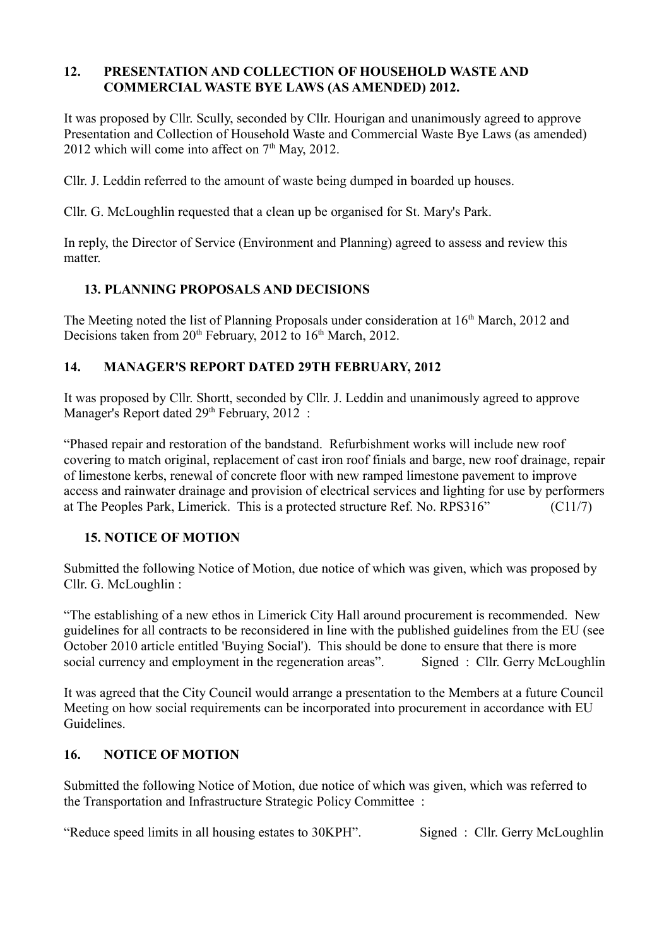### **12. PRESENTATION AND COLLECTION OF HOUSEHOLD WASTE AND COMMERCIAL WASTE BYE LAWS (AS AMENDED) 2012.**

It was proposed by Cllr. Scully, seconded by Cllr. Hourigan and unanimously agreed to approve Presentation and Collection of Household Waste and Commercial Waste Bye Laws (as amended) 2012 which will come into affect on  $7<sup>th</sup>$  May, 2012.

Cllr. J. Leddin referred to the amount of waste being dumped in boarded up houses.

Cllr. G. McLoughlin requested that a clean up be organised for St. Mary's Park.

In reply, the Director of Service (Environment and Planning) agreed to assess and review this matter.

# **13. PLANNING PROPOSALS AND DECISIONS**

The Meeting noted the list of Planning Proposals under consideration at 16<sup>th</sup> March, 2012 and Decisions taken from  $20<sup>th</sup>$  February,  $2012$  to  $16<sup>th</sup>$  March,  $2012$ .

## **14. MANAGER'S REPORT DATED 29TH FEBRUARY, 2012**

It was proposed by Cllr. Shortt, seconded by Cllr. J. Leddin and unanimously agreed to approve Manager's Report dated 29<sup>th</sup> February, 2012 :

"Phased repair and restoration of the bandstand. Refurbishment works will include new roof covering to match original, replacement of cast iron roof finials and barge, new roof drainage, repair of limestone kerbs, renewal of concrete floor with new ramped limestone pavement to improve access and rainwater drainage and provision of electrical services and lighting for use by performers at The Peoples Park, Limerick. This is a protected structure Ref. No. RPS316" (C11/7)

### **15. NOTICE OF MOTION**

Submitted the following Notice of Motion, due notice of which was given, which was proposed by Cllr. G. McLoughlin :

"The establishing of a new ethos in Limerick City Hall around procurement is recommended. New guidelines for all contracts to be reconsidered in line with the published guidelines from the EU (see October 2010 article entitled 'Buying Social'). This should be done to ensure that there is more social currency and employment in the regeneration areas". Signed : Cllr. Gerry McLoughlin

It was agreed that the City Council would arrange a presentation to the Members at a future Council Meeting on how social requirements can be incorporated into procurement in accordance with EU Guidelines.

### **16. NOTICE OF MOTION**

Submitted the following Notice of Motion, due notice of which was given, which was referred to the Transportation and Infrastructure Strategic Policy Committee :

"Reduce speed limits in all housing estates to 30KPH". Signed : Cllr. Gerry McLoughlin